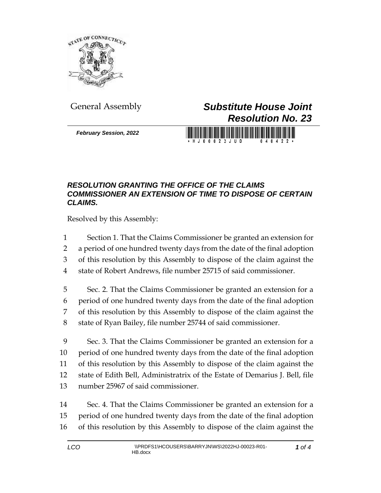

*February Session, 2022*

## General Assembly *Substitute House Joint Resolution No. 23*

H J 0 0 0 2 3 J U D 0 4 0 4 2 2

## *RESOLUTION GRANTING THE OFFICE OF THE CLAIMS COMMISSIONER AN EXTENSION OF TIME TO DISPOSE OF CERTAIN CLAIMS.*

Resolved by this Assembly:

- Section 1. That the Claims Commissioner be granted an extension for
- a period of one hundred twenty days from the date of the final adoption
- of this resolution by this Assembly to dispose of the claim against the
- state of Robert Andrews, file number 25715 of said commissioner.
- Sec. 2. That the Claims Commissioner be granted an extension for a period of one hundred twenty days from the date of the final adoption of this resolution by this Assembly to dispose of the claim against the state of Ryan Bailey, file number 25744 of said commissioner.
- Sec. 3. That the Claims Commissioner be granted an extension for a period of one hundred twenty days from the date of the final adoption of this resolution by this Assembly to dispose of the claim against the state of Edith Bell, Administratrix of the Estate of Demarius J. Bell, file number 25967 of said commissioner.
- Sec. 4. That the Claims Commissioner be granted an extension for a period of one hundred twenty days from the date of the final adoption of this resolution by this Assembly to dispose of the claim against the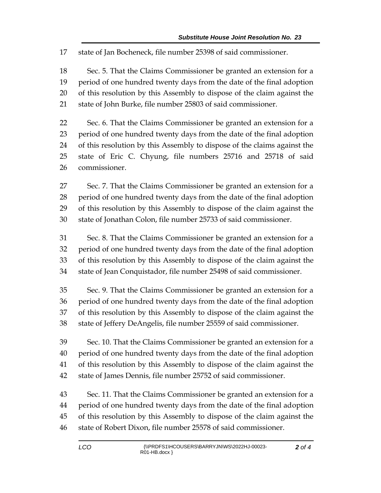state of Jan Bocheneck, file number 25398 of said commissioner.

 Sec. 5. That the Claims Commissioner be granted an extension for a period of one hundred twenty days from the date of the final adoption of this resolution by this Assembly to dispose of the claim against the state of John Burke, file number 25803 of said commissioner.

 Sec. 6. That the Claims Commissioner be granted an extension for a period of one hundred twenty days from the date of the final adoption of this resolution by this Assembly to dispose of the claims against the state of Eric C. Chyung, file numbers 25716 and 25718 of said commissioner.

 Sec. 7. That the Claims Commissioner be granted an extension for a period of one hundred twenty days from the date of the final adoption of this resolution by this Assembly to dispose of the claim against the state of Jonathan Colon, file number 25733 of said commissioner.

 Sec. 8. That the Claims Commissioner be granted an extension for a period of one hundred twenty days from the date of the final adoption of this resolution by this Assembly to dispose of the claim against the state of Jean Conquistador, file number 25498 of said commissioner.

 Sec. 9. That the Claims Commissioner be granted an extension for a period of one hundred twenty days from the date of the final adoption of this resolution by this Assembly to dispose of the claim against the state of Jeffery DeAngelis, file number 25559 of said commissioner.

 Sec. 10. That the Claims Commissioner be granted an extension for a period of one hundred twenty days from the date of the final adoption of this resolution by this Assembly to dispose of the claim against the state of James Dennis, file number 25752 of said commissioner.

 Sec. 11. That the Claims Commissioner be granted an extension for a period of one hundred twenty days from the date of the final adoption of this resolution by this Assembly to dispose of the claim against the state of Robert Dixon, file number 25578 of said commissioner.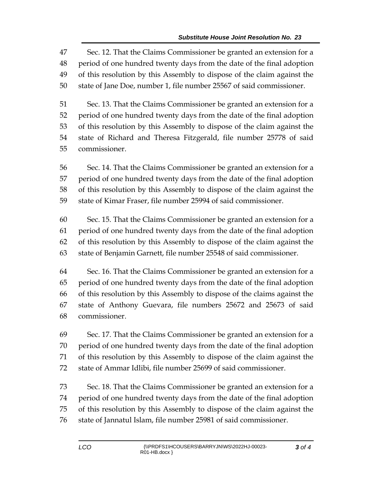Sec. 12. That the Claims Commissioner be granted an extension for a period of one hundred twenty days from the date of the final adoption of this resolution by this Assembly to dispose of the claim against the state of Jane Doe, number 1, file number 25567 of said commissioner.

 Sec. 13. That the Claims Commissioner be granted an extension for a period of one hundred twenty days from the date of the final adoption of this resolution by this Assembly to dispose of the claim against the state of Richard and Theresa Fitzgerald, file number 25778 of said commissioner.

 Sec. 14. That the Claims Commissioner be granted an extension for a period of one hundred twenty days from the date of the final adoption of this resolution by this Assembly to dispose of the claim against the state of Kimar Fraser, file number 25994 of said commissioner.

 Sec. 15. That the Claims Commissioner be granted an extension for a period of one hundred twenty days from the date of the final adoption of this resolution by this Assembly to dispose of the claim against the state of Benjamin Garnett, file number 25548 of said commissioner.

 Sec. 16. That the Claims Commissioner be granted an extension for a period of one hundred twenty days from the date of the final adoption of this resolution by this Assembly to dispose of the claims against the state of Anthony Guevara, file numbers 25672 and 25673 of said commissioner.

 Sec. 17. That the Claims Commissioner be granted an extension for a period of one hundred twenty days from the date of the final adoption of this resolution by this Assembly to dispose of the claim against the state of Ammar Idlibi, file number 25699 of said commissioner.

 Sec. 18. That the Claims Commissioner be granted an extension for a period of one hundred twenty days from the date of the final adoption of this resolution by this Assembly to dispose of the claim against the state of Jannatul Islam, file number 25981 of said commissioner.